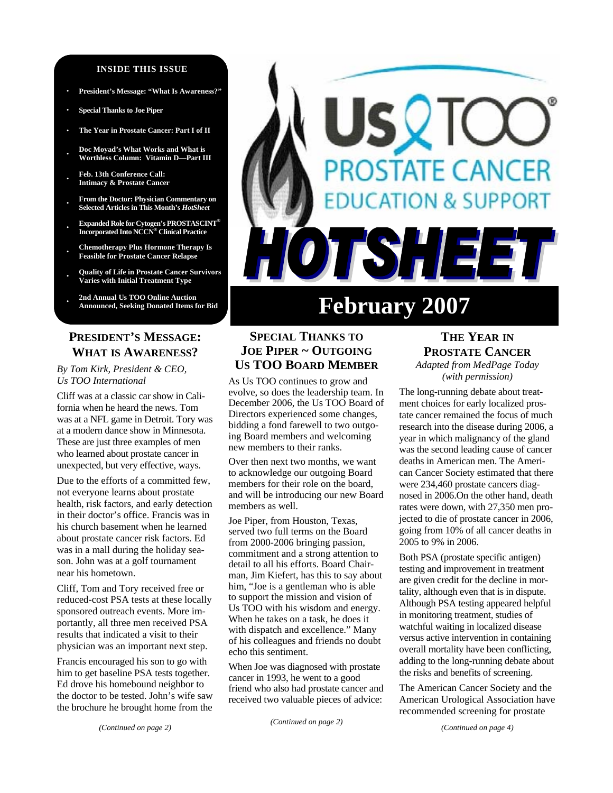#### **INSIDE THIS ISSUE**

- **· President's Message: "What Is Awareness?"**
- **· Special Thanks to Joe Piper**
- **· The Year in Prostate Cancer: Part I of II**
- **· Doc Moyad's What Works and What is Worthless Column: Vitamin D—Part III**
- **· Feb. 13th Conference Call: Intimacy & Prostate Cancer**
- **· From the Doctor: Physician Commentary on Selected Articles in This Month's** *HotSheet*
- **· Expanded Role for Cytogen's PROSTASCINT® Incorporated Into NCCN® Clinical Practice**
- **· Chemotherapy Plus Hormone Therapy Is Feasible for Prostate Cancer Relapse**
- **· Quality of Life in Prostate Cancer Survivors Varies with Initial Treatment Type**
- **· 2nd Annual Us TOO Online Auction**

# **PRESIDENT'S MESSAGE: WHAT IS AWARENESS?**

*By Tom Kirk, President & CEO, Us TOO International* 

Cliff was at a classic car show in California when he heard the news. Tom was at a NFL game in Detroit. Tory was at a modern dance show in Minnesota. These are just three examples of men who learned about prostate cancer in unexpected, but very effective, ways.

Due to the efforts of a committed few, not everyone learns about prostate health, risk factors, and early detection in their doctor's office. Francis was in his church basement when he learned about prostate cancer risk factors. Ed was in a mall during the holiday season. John was at a golf tournament near his hometown.

Cliff, Tom and Tory received free or reduced-cost PSA tests at these locally sponsored outreach events. More importantly, all three men received PSA results that indicated a visit to their physician was an important next step.

Francis encouraged his son to go with him to get baseline PSA tests together. Ed drove his homebound neighbor to the doctor to be tested. John's wife saw the brochure he brought home from the

# **DSTATE CANCER DN & SUPPORT** TSHEET **February 2007**

# **SPECIAL THANKS TO JOE PIPER ~ OUTGOING US TOO BOARD MEMBER**

As Us TOO continues to grow and evolve, so does the leadership team. In December 2006, the Us TOO Board of Directors experienced some changes, bidding a fond farewell to two outgoing Board members and welcoming new members to their ranks.

Over then next two months, we want to acknowledge our outgoing Board members for their role on the board, and will be introducing our new Board members as well.

Joe Piper, from Houston, Texas, served two full terms on the Board from 2000-2006 bringing passion, commitment and a strong attention to detail to all his efforts. Board Chairman, Jim Kiefert, has this to say about him, "Joe is a gentleman who is able to support the mission and vision of Us TOO with his wisdom and energy. When he takes on a task, he does it with dispatch and excellence." Many of his colleagues and friends no doubt echo this sentiment.

When Joe was diagnosed with prostate cancer in 1993, he went to a good friend who also had prostate cancer and received two valuable pieces of advice:

*(Continued on page 2)* 

## **THE YEAR IN PROSTATE CANCER** *Adapted from MedPage Today (with permission)*

The long-running debate about treatment choices for early localized prostate cancer remained the focus of much research into the disease during 2006, a year in which malignancy of the gland was the second leading cause of cancer deaths in American men. The American Cancer Society estimated that there were 234,460 prostate cancers diagnosed in 2006.On the other hand, death rates were down, with 27,350 men projected to die of prostate cancer in 2006, going from 10% of all cancer deaths in 2005 to 9% in 2006.

Both PSA (prostate specific antigen) testing and improvement in treatment are given credit for the decline in mortality, although even that is in dispute. Although PSA testing appeared helpful in monitoring treatment, studies of watchful waiting in localized disease versus active intervention in containing overall mortality have been conflicting, adding to the long-running debate about the risks and benefits of screening.

The American Cancer Society and the American Urological Association have recommended screening for prostate

*(Continued on page 4)*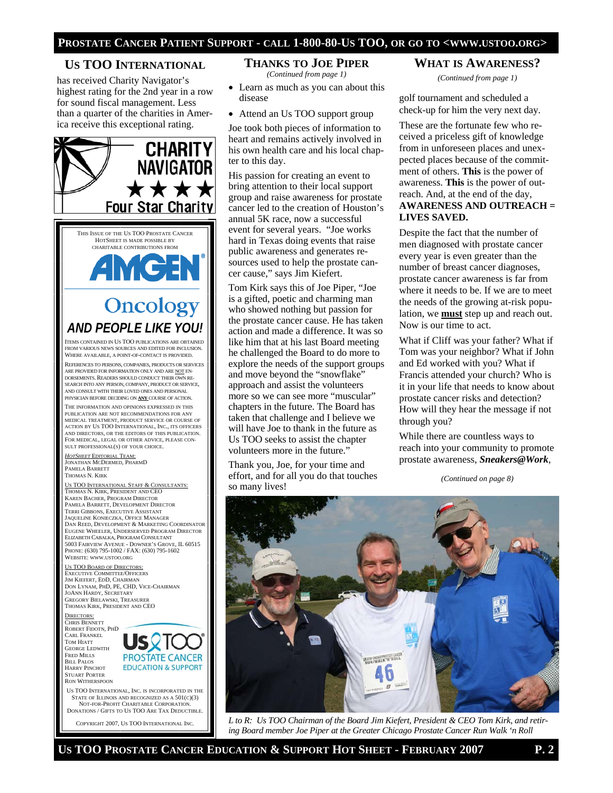## **US TOO INTERNATIONAL**

has received Charity Navigator's highest rating for the 2nd year in a row for sound fiscal management. Less than a quarter of the charities in America receive this exceptional rating.



STATE OF ILLINOIS AND RECOGNIZED AS A 501(C)(3) NOT-FOR-PROFIT CHARITABLE CORPORATION. DONATIONS / GIFTS TO US TOO ARE TAX DEDUCTIBLE.

COPYRIGHT 2007, US TOO INTERNATIONAL INC.

#### **THANKS TO JOE PIPER** *(Continued from page 1)*

- Learn as much as you can about this disease
- Attend an Us TOO support group

Joe took both pieces of information to heart and remains actively involved in his own health care and his local chapter to this day.

His passion for creating an event to bring attention to their local support group and raise awareness for prostate cancer led to the creation of Houston's annual 5K race, now a successful event for several years. "Joe works hard in Texas doing events that raise public awareness and generates resources used to help the prostate cancer cause," says Jim Kiefert.

Tom Kirk says this of Joe Piper, "Joe is a gifted, poetic and charming man who showed nothing but passion for the prostate cancer cause. He has taken action and made a difference. It was so like him that at his last Board meeting he challenged the Board to do more to explore the needs of the support groups and move beyond the "snowflake" approach and assist the volunteers more so we can see more "muscular" chapters in the future. The Board has taken that challenge and I believe we will have Joe to thank in the future as Us TOO seeks to assist the chapter volunteers more in the future."

Thank you, Joe, for your time and effort, and for all you do that touches so many lives!

## **WHAT IS AWARENESS?**

*(Continued from page 1)* 

golf tournament and scheduled a check-up for him the very next day.

These are the fortunate few who received a priceless gift of knowledge from in unforeseen places and unexpected places because of the commitment of others. **This** is the power of awareness. **This** is the power of outreach. And, at the end of the day, **AWARENESS AND OUTREACH = LIVES SAVED.** 

Despite the fact that the number of men diagnosed with prostate cancer every year is even greater than the number of breast cancer diagnoses, prostate cancer awareness is far from where it needs to be. If we are to meet the needs of the growing at-risk population, we **must** step up and reach out. Now is our time to act.

What if Cliff was your father? What if Tom was your neighbor? What if John and Ed worked with you? What if Francis attended your church? Who is it in your life that needs to know about prostate cancer risks and detection? How will they hear the message if not through you?

While there are countless ways to reach into your community to promote prostate awareness, *Sneakers@Work*,

*(Continued on page 8)* 



*L to R: Us TOO Chairman of the Board Jim Kiefert, President & CEO Tom Kirk, and retiring Board member Joe Piper at the Greater Chicago Prostate Cancer Run Walk 'n Roll*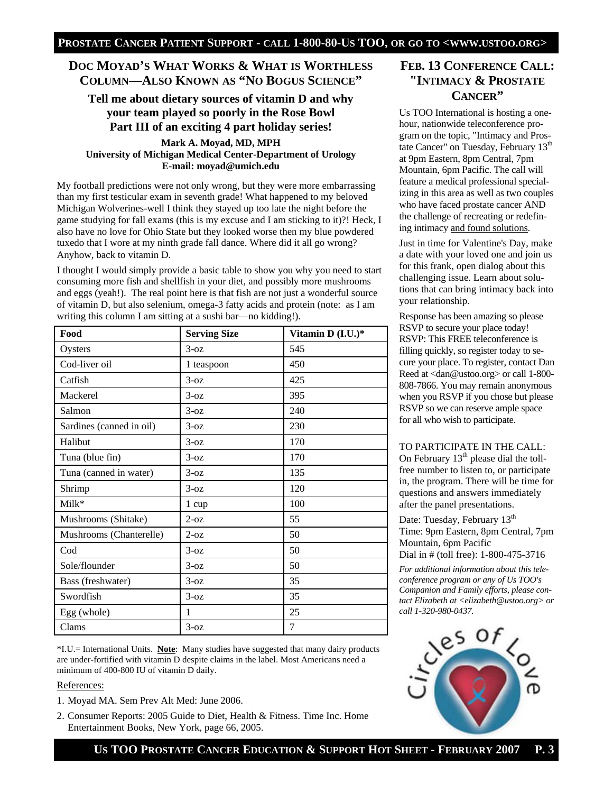# **DOC MOYAD'S WHAT WORKS & WHAT IS WORTHLESS COLUMN—ALSO KNOWN AS "NO BOGUS SCIENCE"**

## **Tell me about dietary sources of vitamin D and why your team played so poorly in the Rose Bowl Part III of an exciting 4 part holiday series!**

**Mark A. Moyad, MD, MPH University of Michigan Medical Center-Department of Urology E-mail: moyad@umich.edu**

My football predictions were not only wrong, but they were more embarrassing than my first testicular exam in seventh grade! What happened to my beloved Michigan Wolverines-well I think they stayed up too late the night before the game studying for fall exams (this is my excuse and I am sticking to it)?! Heck, I also have no love for Ohio State but they looked worse then my blue powdered tuxedo that I wore at my ninth grade fall dance. Where did it all go wrong? Anyhow, back to vitamin D.

I thought I would simply provide a basic table to show you why you need to start consuming more fish and shellfish in your diet, and possibly more mushrooms and eggs (yeah!). The real point here is that fish are not just a wonderful source of vitamin D, but also selenium, omega-3 fatty acids and protein (note: as I am writing this column I am sitting at a sushi bar—no kidding!).

| Food                     | <b>Serving Size</b> | Vitamin D (I.U.)* |
|--------------------------|---------------------|-------------------|
| Oysters                  | $3-0z$              | 545               |
| Cod-liver oil            | 1 teaspoon          | 450               |
| Catfish                  | $3-oz$              | 425               |
| Mackerel                 | $3-0z$              | 395               |
| Salmon                   | $3-oz$              | 240               |
| Sardines (canned in oil) | $3-0z$              | 230               |
| Halibut                  | $3-oz$              | 170               |
| Tuna (blue fin)          | $3-0z$              | 170               |
| Tuna (canned in water)   | $3-oz$              | 135               |
| Shrimp                   | $3-0z$              | 120               |
| Milk*                    | 1 cup               | 100               |
| Mushrooms (Shitake)      | $2-oz$              | 55                |
| Mushrooms (Chanterelle)  | $2$ -oz             | 50                |
| Cod                      | $3-oz$              | 50                |
| Sole/flounder            | $3-oz$              | 50                |
| Bass (freshwater)        | $3-0z$              | 35                |
| Swordfish                | $3-oz$              | 35                |
| Egg (whole)              | 1                   | 25                |
| Clams                    | $3-oz$              | 7                 |

\*I.U.= International Units. **Note**: Many studies have suggested that many dairy products are under-fortified with vitamin D despite claims in the label. Most Americans need a minimum of 400-800 IU of vitamin D daily.

## References:

- 1. Moyad MA. Sem Prev Alt Med: June 2006.
- 2. Consumer Reports: 2005 Guide to Diet, Health & Fitness. Time Inc. Home Entertainment Books, New York, page 66, 2005.

# **FEB. 13 CONFERENCE CALL: "INTIMACY & PROSTATE CANCER"**

Us TOO International is hosting a onehour, nationwide teleconference program on the topic, "Intimacy and Prostate Cancer" on Tuesday, February 13<sup>th</sup> at 9pm Eastern, 8pm Central, 7pm Mountain, 6pm Pacific. The call will feature a medical professional specializing in this area as well as two couples who have faced prostate cancer AND the challenge of recreating or redefining intimacy and found solutions.

Just in time for Valentine's Day, make a date with your loved one and join us for this frank, open dialog about this challenging issue. Learn about solutions that can bring intimacy back into your relationship.

Response has been amazing so please RSVP to secure your place today! RSVP: This FREE teleconference is filling quickly, so register today to secure your place. To register, contact Dan Reed at <dan@ustoo.org> or call 1-800- 808-7866. You may remain anonymous when you RSVP if you chose but please RSVP so we can reserve ample space for all who wish to participate.

## TO PARTICIPATE IN THE CALL:

On February  $13<sup>th</sup>$  please dial the tollfree number to listen to, or participate in, the program. There will be time for questions and answers immediately after the panel presentations.

Date: Tuesday, February 13<sup>th</sup> Time: 9pm Eastern, 8pm Central, 7pm Mountain, 6pm Pacific Dial in # (toll free): 1-800-475-3716

*For additional information about this teleconference program or any of Us TOO's Companion and Family efforts, please contact Elizabeth at <elizabeth@ustoo.org> or call 1-320-980-0437.*

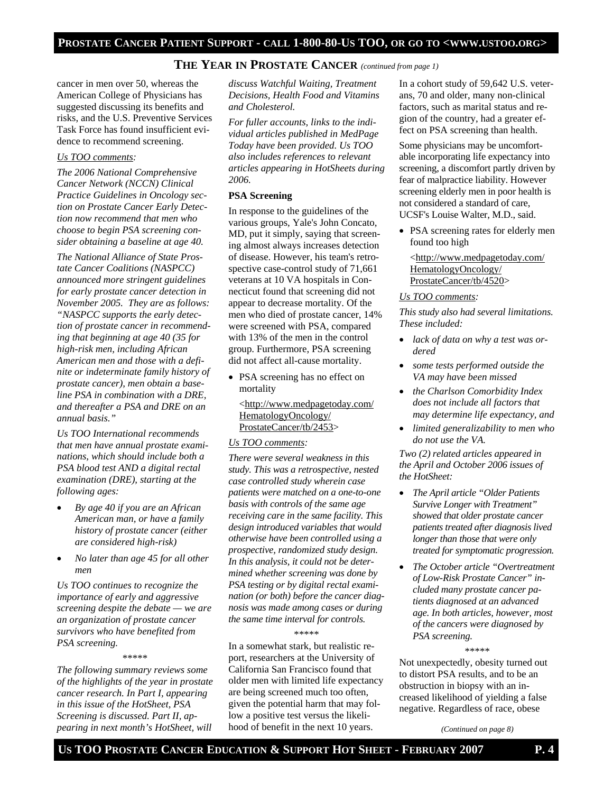# **THE YEAR IN PROSTATE CANCER** *(continued from page 1)*

cancer in men over 50, whereas the American College of Physicians has suggested discussing its benefits and risks, and the U.S. Preventive Services Task Force has found insufficient evidence to recommend screening.

#### *Us TOO comments:*

*The 2006 National Comprehensive Cancer Network (NCCN) Clinical Practice Guidelines in Oncology section on Prostate Cancer Early Detection now recommend that men who choose to begin PSA screening consider obtaining a baseline at age 40.* 

*The National Alliance of State Prostate Cancer Coalitions (NASPCC) announced more stringent guidelines for early prostate cancer detection in November 2005. They are as follows: "NASPCC supports the early detection of prostate cancer in recommending that beginning at age 40 (35 for high-risk men, including African American men and those with a definite or indeterminate family history of prostate cancer), men obtain a baseline PSA in combination with a DRE, and thereafter a PSA and DRE on an annual basis."* 

*Us TOO International recommends that men have annual prostate examinations, which should include both a PSA blood test AND a digital rectal examination (DRE), starting at the following ages:* 

- *By age 40 if you are an African American man, or have a family history of prostate cancer (either are considered high-risk)*
- *No later than age 45 for all other men*

*Us TOO continues to recognize the importance of early and aggressive screening despite the debate — we are an organization of prostate cancer survivors who have benefited from PSA screening.* 

\*\*\*\*\*

*The following summary reviews some of the highlights of the year in prostate cancer research. In Part I, appearing in this issue of the HotSheet, PSA Screening is discussed. Part II, appearing in next month's HotSheet, will* 

*discuss Watchful Waiting, Treatment Decisions, Health Food and Vitamins and Cholesterol.* 

*For fuller accounts, links to the individual articles published in MedPage Today have been provided. Us TOO also includes references to relevant articles appearing in HotSheets during 2006.* 

## **PSA Screening**

In response to the guidelines of the various groups, Yale's John Concato, MD, put it simply, saying that screening almost always increases detection of disease. However, his team's retrospective case-control study of 71,661 veterans at 10 VA hospitals in Connecticut found that screening did not appear to decrease mortality. Of the men who died of prostate cancer, 14% were screened with PSA, compared with 13% of the men in the control group. Furthermore, PSA screening did not affect all-cause mortality.

• PSA screening has no effect on mortality

<http://www.medpagetoday.com/ HematologyOncology/ ProstateCancer/tb/2453>

### *Us TOO comments:*

*There were several weakness in this study. This was a retrospective, nested case controlled study wherein case patients were matched on a one-to-one basis with controls of the same age receiving care in the same facility. This design introduced variables that would otherwise have been controlled using a prospective, randomized study design. In this analysis, it could not be determined whether screening was done by PSA testing or by digital rectal examination (or both) before the cancer diagnosis was made among cases or during the same time interval for controls.* 

#### \*\*\*\*\*

In a somewhat stark, but realistic report, researchers at the University of California San Francisco found that older men with limited life expectancy are being screened much too often, given the potential harm that may follow a positive test versus the likelihood of benefit in the next 10 years.

In a cohort study of 59,642 U.S. veterans, 70 and older, many non-clinical factors, such as marital status and region of the country, had a greater effect on PSA screening than health.

Some physicians may be uncomfortable incorporating life expectancy into screening, a discomfort partly driven by fear of malpractice liability. However screening elderly men in poor health is not considered a standard of care, UCSF's Louise Walter, M.D., said.

• PSA screening rates for elderly men found too high

<http://www.medpagetoday.com/ HematologyOncology/ ProstateCancer/tb/4520>

#### *Us TOO comments:*

*This study also had several limitations. These included:* 

- *lack of data on why a test was ordered*
- *some tests performed outside the VA may have been missed*
- *the Charlson Comorbidity Index does not include all factors that may determine life expectancy, and*
- *limited generalizability to men who do not use the VA.*

*Two (2) related articles appeared in the April and October 2006 issues of the HotSheet:* 

- *The April article "Older Patients Survive Longer with Treatment" showed that older prostate cancer patients treated after diagnosis lived longer than those that were only treated for symptomatic progression.*
- *The October article "Overtreatment of Low-Risk Prostate Cancer" included many prostate cancer patients diagnosed at an advanced age. In both articles, however, most of the cancers were diagnosed by PSA screening.*

\*\*\*\*\*

Not unexpectedly, obesity turned out to distort PSA results, and to be an obstruction in biopsy with an increased likelihood of yielding a false negative. Regardless of race, obese

*(Continued on page 8)*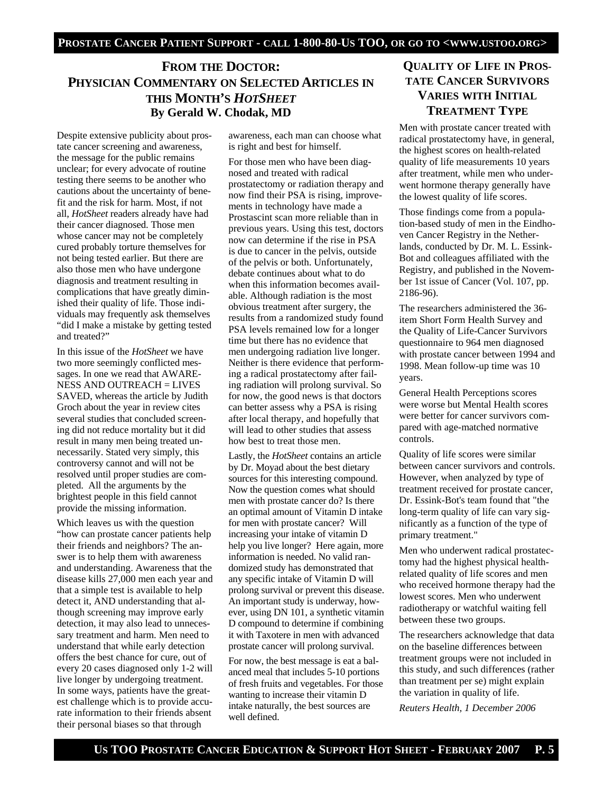# **FROM THE DOCTOR: PHYSICIAN COMMENTARY ON SELECTED ARTICLES IN THIS MONTH'S** *HOTSHEET* **By Gerald W. Chodak, MD**

Despite extensive publicity about prostate cancer screening and awareness, the message for the public remains unclear; for every advocate of routine testing there seems to be another who cautions about the uncertainty of benefit and the risk for harm. Most, if not all, *HotSheet* readers already have had their cancer diagnosed. Those men whose cancer may not be completely cured probably torture themselves for not being tested earlier. But there are also those men who have undergone diagnosis and treatment resulting in complications that have greatly diminished their quality of life. Those individuals may frequently ask themselves "did I make a mistake by getting tested and treated?"

In this issue of the *HotSheet* we have two more seemingly conflicted messages. In one we read that AWARE-NESS AND OUTREACH = LIVES SAVED, whereas the article by Judith Groch about the year in review cites several studies that concluded screening did not reduce mortality but it did result in many men being treated unnecessarily. Stated very simply, this controversy cannot and will not be resolved until proper studies are completed. All the arguments by the brightest people in this field cannot provide the missing information.

Which leaves us with the question "how can prostate cancer patients help their friends and neighbors? The answer is to help them with awareness and understanding. Awareness that the disease kills 27,000 men each year and that a simple test is available to help detect it, AND understanding that although screening may improve early detection, it may also lead to unnecessary treatment and harm. Men need to understand that while early detection offers the best chance for cure, out of every 20 cases diagnosed only 1-2 will live longer by undergoing treatment. In some ways, patients have the greatest challenge which is to provide accurate information to their friends absent their personal biases so that through

awareness, each man can choose what is right and best for himself.

For those men who have been diagnosed and treated with radical prostatectomy or radiation therapy and now find their PSA is rising, improvements in technology have made a Prostascint scan more reliable than in previous years. Using this test, doctors now can determine if the rise in PSA is due to cancer in the pelvis, outside of the pelvis or both. Unfortunately, debate continues about what to do when this information becomes available. Although radiation is the most obvious treatment after surgery, the results from a randomized study found PSA levels remained low for a longer time but there has no evidence that men undergoing radiation live longer. Neither is there evidence that performing a radical prostatectomy after failing radiation will prolong survival. So for now, the good news is that doctors can better assess why a PSA is rising after local therapy, and hopefully that will lead to other studies that assess how best to treat those men.

Lastly, the *HotSheet* contains an article by Dr. Moyad about the best dietary sources for this interesting compound. Now the question comes what should men with prostate cancer do? Is there an optimal amount of Vitamin D intake for men with prostate cancer? Will increasing your intake of vitamin D help you live longer? Here again, more information is needed. No valid randomized study has demonstrated that any specific intake of Vitamin D will prolong survival or prevent this disease. An important study is underway, however, using DN 101, a synthetic vitamin D compound to determine if combining it with Taxotere in men with advanced prostate cancer will prolong survival.

For now, the best message is eat a balanced meal that includes 5-10 portions of fresh fruits and vegetables. For those wanting to increase their vitamin D intake naturally, the best sources are well defined.

# **QUALITY OF LIFE IN PROS-TATE CANCER SURVIVORS VARIES WITH INITIAL TREATMENT TYPE**

Men with prostate cancer treated with radical prostatectomy have, in general, the highest scores on health-related quality of life measurements 10 years after treatment, while men who underwent hormone therapy generally have the lowest quality of life scores.

Those findings come from a population-based study of men in the Eindhoven Cancer Registry in the Netherlands, conducted by Dr. M. L. Essink-Bot and colleagues affiliated with the Registry, and published in the November 1st issue of Cancer (Vol. 107, pp. 2186-96).

The researchers administered the 36 item Short Form Health Survey and the Quality of Life-Cancer Survivors questionnaire to 964 men diagnosed with prostate cancer between 1994 and 1998. Mean follow-up time was 10 years.

General Health Perceptions scores were worse but Mental Health scores were better for cancer survivors compared with age-matched normative controls.

Quality of life scores were similar between cancer survivors and controls. However, when analyzed by type of treatment received for prostate cancer, Dr. Essink-Bot's team found that "the long-term quality of life can vary significantly as a function of the type of primary treatment."

Men who underwent radical prostatectomy had the highest physical healthrelated quality of life scores and men who received hormone therapy had the lowest scores. Men who underwent radiotherapy or watchful waiting fell between these two groups.

The researchers acknowledge that data on the baseline differences between treatment groups were not included in this study, and such differences (rather than treatment per se) might explain the variation in quality of life.

*Reuters Health, 1 December 2006*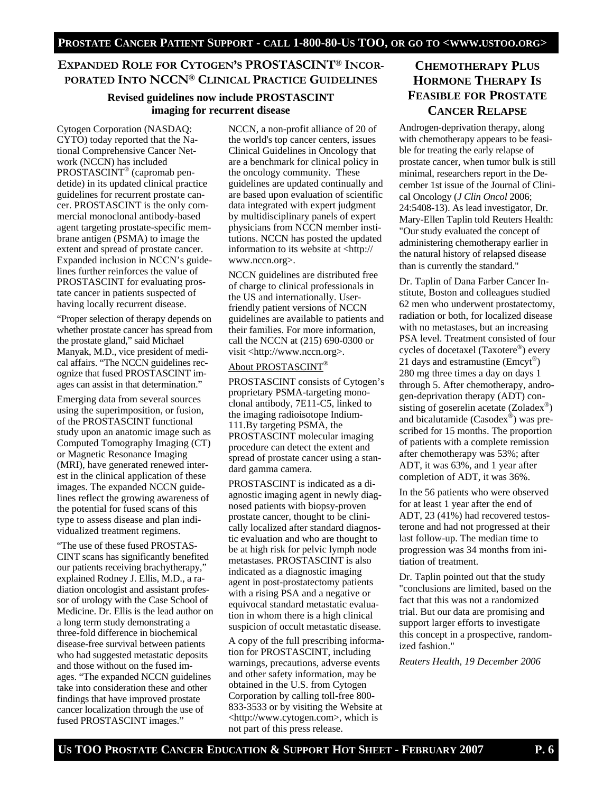## **EXPANDED ROLE FOR CYTOGEN'S PROSTASCINT® INCOR-PORATED INTO NCCN® CLINICAL PRACTICE GUIDELINES**

## **Revised guidelines now include PROSTASCINT imaging for recurrent disease**

Cytogen Corporation (NASDAQ: CYTO) today reported that the National Comprehensive Cancer Network (NCCN) has included PROSTASCINT® (capromab pendetide) in its updated clinical practice guidelines for recurrent prostate cancer. PROSTASCINT is the only commercial monoclonal antibody-based agent targeting prostate-specific membrane antigen (PSMA) to image the extent and spread of prostate cancer. Expanded inclusion in NCCN's guidelines further reinforces the value of PROSTASCINT for evaluating prostate cancer in patients suspected of having locally recurrent disease.

"Proper selection of therapy depends on whether prostate cancer has spread from the prostate gland," said Michael Manyak, M.D., vice president of medical affairs. "The NCCN guidelines recognize that fused PROSTASCINT images can assist in that determination."

Emerging data from several sources using the superimposition, or fusion, of the PROSTASCINT functional study upon an anatomic image such as Computed Tomography Imaging (CT) or Magnetic Resonance Imaging (MRI), have generated renewed interest in the clinical application of these images. The expanded NCCN guidelines reflect the growing awareness of the potential for fused scans of this type to assess disease and plan individualized treatment regimens.

"The use of these fused PROSTAS-CINT scans has significantly benefited our patients receiving brachytherapy," explained Rodney J. Ellis, M.D., a radiation oncologist and assistant professor of urology with the Case School of Medicine. Dr. Ellis is the lead author on a long term study demonstrating a three-fold difference in biochemical disease-free survival between patients who had suggested metastatic deposits and those without on the fused images. "The expanded NCCN guidelines take into consideration these and other findings that have improved prostate cancer localization through the use of fused PROSTASCINT images."

NCCN, a non-profit alliance of 20 of the world's top cancer centers, issues Clinical Guidelines in Oncology that are a benchmark for clinical policy in the oncology community. These guidelines are updated continually and are based upon evaluation of scientific data integrated with expert judgment by multidisciplinary panels of expert physicians from NCCN member institutions. NCCN has posted the updated information to its website at <http:// www.nccn.org>.

NCCN guidelines are distributed free of charge to clinical professionals in the US and internationally. Userfriendly patient versions of NCCN guidelines are available to patients and their families. For more information, call the NCCN at (215) 690-0300 or visit <http://www.nccn.org>.

## About PROSTASCINT®

PROSTASCINT consists of Cytogen's proprietary PSMA-targeting monoclonal antibody, 7E11-C5, linked to the imaging radioisotope Indium-111.By targeting PSMA, the PROSTASCINT molecular imaging procedure can detect the extent and spread of prostate cancer using a standard gamma camera.

PROSTASCINT is indicated as a diagnostic imaging agent in newly diagnosed patients with biopsy-proven prostate cancer, thought to be clinically localized after standard diagnostic evaluation and who are thought to be at high risk for pelvic lymph node metastases. PROSTASCINT is also indicated as a diagnostic imaging agent in post-prostatectomy patients with a rising PSA and a negative or equivocal standard metastatic evaluation in whom there is a high clinical suspicion of occult metastatic disease.

A copy of the full prescribing information for PROSTASCINT, including warnings, precautions, adverse events and other safety information, may be obtained in the U.S. from Cytogen Corporation by calling toll-free 800- 833-3533 or by visiting the Website at <http://www.cytogen.com>, which is not part of this press release.

# **CHEMOTHERAPY PLUS HORMONE THERAPY IS FEASIBLE FOR PROSTATE CANCER RELAPSE**

Androgen-deprivation therapy, along with chemotherapy appears to be feasible for treating the early relapse of prostate cancer, when tumor bulk is still minimal, researchers report in the December 1st issue of the Journal of Clinical Oncology (*J Clin Oncol* 2006; 24:5408-13). As lead investigator, Dr. Mary-Ellen Taplin told Reuters Health: "Our study evaluated the concept of administering chemotherapy earlier in the natural history of relapsed disease than is currently the standard."

Dr. Taplin of Dana Farber Cancer Institute, Boston and colleagues studied 62 men who underwent prostatectomy, radiation or both, for localized disease with no metastases, but an increasing PSA level. Treatment consisted of four cycles of docetaxel (Taxotere®) every 21 days and estramustine ( $\text{Emcyt}^{\circledast}$ ) 280 mg three times a day on days 1 through 5. After chemotherapy, androgen-deprivation therapy (ADT) consisting of goserelin acetate (Zoladex®) and bicalutamide (Casodex®) was prescribed for 15 months. The proportion of patients with a complete remission after chemotherapy was 53%; after ADT, it was 63%, and 1 year after completion of ADT, it was 36%.

In the 56 patients who were observed for at least 1 year after the end of ADT, 23 (41%) had recovered testosterone and had not progressed at their last follow-up. The median time to progression was 34 months from initiation of treatment.

Dr. Taplin pointed out that the study "conclusions are limited, based on the fact that this was not a randomized trial. But our data are promising and support larger efforts to investigate this concept in a prospective, randomized fashion."

*Reuters Health, 19 December 2006*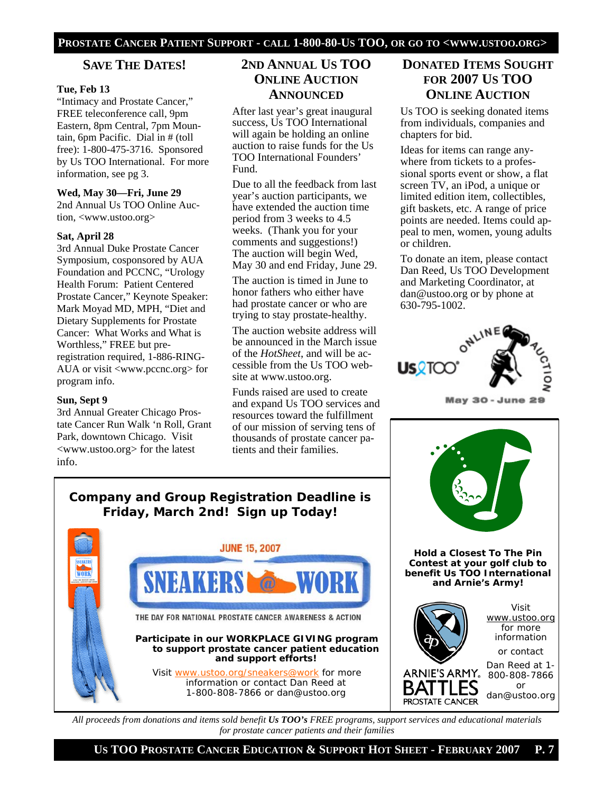## **SAVE THE DATES!**

## **Tue, Feb 13**

"Intimacy and Prostate Cancer," FREE teleconference call, 9pm Eastern, 8pm Central, 7pm Mountain, 6pm Pacific. Dial in # (toll free): 1-800-475-3716. Sponsored by Us TOO International. For more information, see pg 3.

#### **Wed, May 30—Fri, June 29**

2nd Annual Us TOO Online Auction, <www.ustoo.org>

## **Sat, April 28**

3rd Annual Duke Prostate Cancer Symposium, cosponsored by AUA Foundation and PCCNC, "Urology Health Forum: Patient Centered Prostate Cancer," Keynote Speaker: Mark Moyad MD, MPH, "Diet and Dietary Supplements for Prostate Cancer: What Works and What is Worthless," FREE but preregistration required, 1-886-RING-AUA or visit <www.pccnc.org> for program info.

#### **Sun, Sept 9**

3rd Annual Greater Chicago Prostate Cancer Run Walk 'n Roll, Grant Park, downtown Chicago. Visit <www.ustoo.org> for the latest info.

# **2ND ANNUAL US TOO ONLINE AUCTION ANNOUNCED**

After last year's great inaugural success, Us TOO International will again be holding an online auction to raise funds for the Us TOO International Founders' Fund.

Due to all the feedback from last year's auction participants, we have extended the auction time period from 3 weeks to 4.5 weeks. (Thank you for your comments and suggestions!) The auction will begin Wed, May 30 and end Friday, June 29.

The auction is timed in June to honor fathers who either have had prostate cancer or who are trying to stay prostate-healthy.

The auction website address will be announced in the March issue of the *HotSheet*, and will be accessible from the Us TOO website at www.ustoo.org.

Funds raised are used to create and expand Us TOO services and resources toward the fulfillment of our mission of serving tens of thousands of prostate cancer patients and their families.

# **DONATED ITEMS SOUGHT FOR 2007 US TOO ONLINE AUCTION**

Us TOO is seeking donated items from individuals, companies and chapters for bid.

Ideas for items can range anywhere from tickets to a professional sports event or show, a flat screen TV, an iPod, a unique or limited edition item, collectibles, gift baskets, etc. A range of price points are needed. Items could appeal to men, women, young adults or children.

To donate an item, please contact Dan Reed, Us TOO Development and Marketing Coordinator, at dan@ustoo.org or by phone at 630-795-1002.



May 30 - June 29



# **Company and Group Registration Deadline is Friday, March 2nd! Sign up Today!**



*All proceeds from donations and items sold benefit Us TOO's FREE programs, support services and educational materials for prostate cancer patients and their families*